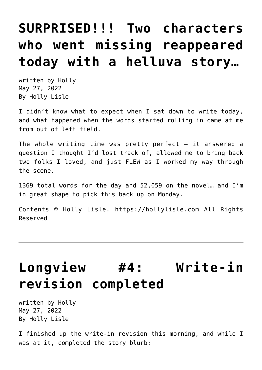## **[SURPRISED!!! Two characters](https://hollylisle.com/surprised-two-characters-who-went-missing-reappeared-today-with-a-helluva-story/) [who went missing reappeared](https://hollylisle.com/surprised-two-characters-who-went-missing-reappeared-today-with-a-helluva-story/) [today with a helluva story…](https://hollylisle.com/surprised-two-characters-who-went-missing-reappeared-today-with-a-helluva-story/)**

written by Holly May 27, 2022 [By Holly Lisle](https://hollylisle.com)

I didn't know what to expect when I sat down to write today, and what happened when the words started rolling in came at me from out of left field.

The whole writing time was pretty perfect  $-$  it answered a question I thought I'd lost track of, allowed me to bring back two folks I loved, and just FLEW as I worked my way through the scene.

1369 total words for the day and 52,059 on the novel… and I'm in great shape to pick this back up on Monday.

Contents © Holly Lisle. <https://hollylisle.com> All Rights Reserved

# **[Longview #4: Write-in](https://hollylisle.com/longview-4-write-in-revision-completed/) [revision completed](https://hollylisle.com/longview-4-write-in-revision-completed/)**

written by Holly May 27, 2022 [By Holly Lisle](https://hollylisle.com)

I finished up the write-in revision this morning, and while I was at it, completed the story blurb: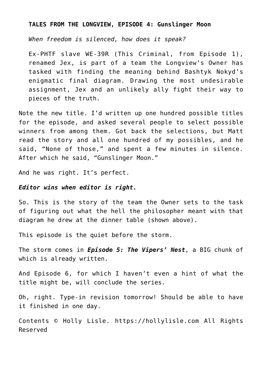#### **TALES FROM THE LONGVIEW, EPISODE 4: Gunslinger Moon**

*When freedom is silenced, how does it speak?*

Ex-PHTF slave WE-39R (This Criminal, from Episode 1), renamed Jex, is part of a team the Longview's Owner has tasked with finding the meaning behind Bashtyk Nokyd's enigmatic final diagram. Drawing the most undesirable assignment, Jex and an unlikely ally fight their way to pieces of the truth.

Note the new title. I'd written up one hundred possible titles for the episode, and asked several people to select possible winners from among them. Got back the selections, but Matt read the story and all one hundred of my possibles, and he said, "None of those," and spent a few minutes in silence. After which he said, "Gunslinger Moon."

And he was right. It's perfect.

#### *Editor wins when editor is right.*

So. This is the story of the team the Owner sets to the task of figuring out what the hell the philosopher meant with that diagram he drew at the dinner table (shown above).

This episode is the quiet before the storm.

The storm comes in *Episode 5: The Vipers' Nest*, a BIG chunk of which is already written.

And Episode 6, for which I haven't even a hint of what the title might be, will conclude the series.

Oh, right. Type-in revision tomorrow! Should be able to have it finished in one day.

Contents © Holly Lisle. <https://hollylisle.com> All Rights Reserved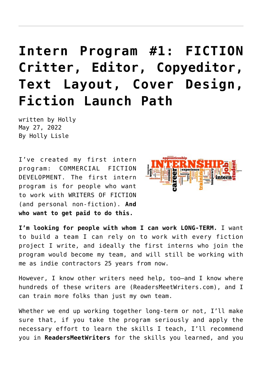# **[Intern Program #1: FICTION](https://hollylisle.com/intern-program-1-fiction-critter-editor-copyeditor-text-layout-cover-design-fiction-launch-path/) [Critter, Editor, Copyeditor,](https://hollylisle.com/intern-program-1-fiction-critter-editor-copyeditor-text-layout-cover-design-fiction-launch-path/) [Text Layout, Cover Design,](https://hollylisle.com/intern-program-1-fiction-critter-editor-copyeditor-text-layout-cover-design-fiction-launch-path/) [Fiction Launch Path](https://hollylisle.com/intern-program-1-fiction-critter-editor-copyeditor-text-layout-cover-design-fiction-launch-path/)**

written by Holly May 27, 2022 [By Holly Lisle](https://hollylisle.com)

I've created my first intern program: COMMERCIAL FICTION DEVELOPMENT. The first intern program is for people who want to work with WRITERS OF FICTION (and personal non-fiction). **And who want to get paid to do this.**



**I'm looking for people with whom I can work LONG-TERM.** I want to build a team I can rely on to work with every fiction project I write, and ideally the first interns who join the program would become my team, and will still be working with me as indie contractors 25 years from now.

However, I know other writers need help, too—and I know where hundreds of these writers are (ReadersMeetWriters.com), and I can train more folks than just my own team.

Whether we end up working together long-term or not, I'll make sure that, if you take the program seriously and apply the necessary effort to learn the skills I teach, I'll recommend you in **ReadersMeetWriters** for the skills you learned, and you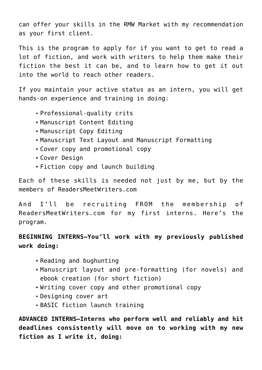can offer your skills in the RMW Market with my recommendation as your first client.

This is the program to apply for if you want to get to read a lot of fiction, and work with writers to help them make their fiction the best it can be, and to learn how to get it out into the world to reach other readers.

If you maintain your active status as an intern, you will get hands-on experience and training in doing:

- Professional-quality crits
- Manuscript Content Editing
- Manuscript Copy Editing
- Manuscript Text Layout and Manuscript Formatting
- Cover copy and promotional copy
- Cover Design
- Fiction copy and launch building

Each of these skills is needed not just by me, but by the members of [ReadersMeetWriters.com](http://readersmeetwriters.com)

And I'll be recruiting FROM the membership of ReadersMeetWriters.com for my first interns. Here's the program.

### **BEGINNING INTERNS—You'll work with my previously published work doing:**

- Reading and bughunting
- Manuscript layout and pre-formatting (for novels) and ebook creation (for short fiction)
- Writing cover copy and other promotional copy
- Designing cover art
- BASIC fiction launch training

**ADVANCED INTERNS—Interns who perform well and reliably and hit deadlines consistently will move on to working with my new fiction as I write it, doing:**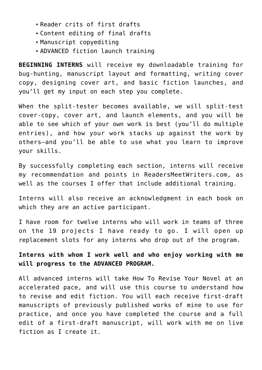- Reader crits of first drafts
- Content editing of final drafts
- Manuscript copyediting
- ADVANCED fiction launch training

**BEGINNING INTERNS** will receive my downloadable training for bug-hunting, manuscript layout and formatting, writing cover copy, designing cover art, and basic fiction launches, and you'll get my input on each step you complete.

When the split-tester becomes available, we will split-test cover-copy, cover art, and launch elements, and you will be able to see which of your own work is best (you'll do multiple entries), and how your work stacks up against the work by others—and you'll be able to use what you learn to improve your skills.

By successfully completing each section, interns will receive my recommendation and points in ReadersMeetWriters.com, as well as the courses I offer that include additional training.

Interns will also receive an acknowledgment in each book on which they are an active participant.

I have room for twelve interns who will work in teams of three on the 19 projects I have ready to go. I will open up replacement slots for any interns who drop out of the program.

**Interns with whom I work well and who enjoy working with me will progress to the ADVANCED PROGRAM.**

All advanced interns will take How To Revise Your Novel at an accelerated pace, and will use this course to understand how to revise and edit fiction. You will each receive first-draft manuscripts of previously published works of mine to use for practice, and once you have completed the course and a full edit of a first-draft manuscript, will work with me on live fiction as I create it.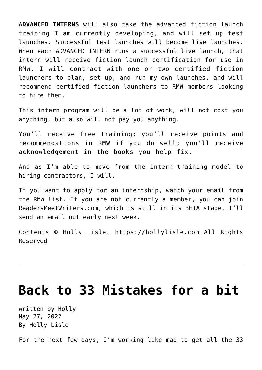**ADVANCED INTERNS** will also take the advanced fiction launch training I am currently developing, and will set up test launches. Successful test launches will become live launches. When each ADVANCED INTERN runs a successful live launch, that intern will receive fiction launch certification for use in RMW. I will contract with one or two certified fiction launchers to plan, set up, and run my own launches, and will recommend certified fiction launchers to RMW members looking to hire them.

This intern program will be a lot of work, will not cost you anything, but also will not pay you anything.

You'll receive free training; you'll receive points and recommendations in RMW if you do well; you'll receive acknowledgement in the books you help fix.

And as I'm able to move from the intern-training model to hiring contractors, I will.

If you want to apply for an internship, watch your email from the RMW list. If you are not currently a member, you can join [ReadersMeetWriters.com,](http://readersmeetwriters.com) which is still in its BETA stage. I'll send an email out early next week.

Contents © Holly Lisle. <https://hollylisle.com> All Rights Reserved

## **[Back to 33 Mistakes for a bit](https://hollylisle.com/back-to-33-mistakes-for-a-bit/)**

written by Holly May 27, 2022 [By Holly Lisle](https://hollylisle.com)

For the next few days, I'm working like mad to get all the 33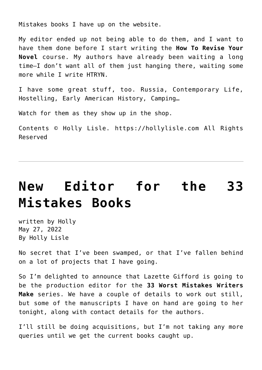Mistakes books I have up on the website.

My editor ended up not being able to do them, and I want to have them done before I start writing the **How To Revise Your Novel** course. My authors have already been waiting a long time—I don't want all of them just hanging there, waiting some more while I write HTRYN.

I have some great stuff, too. Russia, Contemporary Life, Hostelling, Early American History, Camping…

[Watch for them as they show up in the shop.](http://shop.hollylisle.com)

Contents © Holly Lisle. <https://hollylisle.com> All Rights Reserved

## **[New Editor for the 33](https://hollylisle.com/new-editor-for-the-33-mistakes-books/) [Mistakes Books](https://hollylisle.com/new-editor-for-the-33-mistakes-books/)**

written by Holly May 27, 2022 [By Holly Lisle](https://hollylisle.com)

No secret that I've been swamped, or that I've fallen behind on a lot of projects that I have going.

So I'm delighted to announce that Lazette Gifford is going to be the production editor for the **33 Worst Mistakes Writers Make** series. We have a couple of details to work out still, but some of the manuscripts I have on hand are going to her tonight, along with contact details for the authors.

I'll still be doing acquisitions, but I'm not taking any more queries until we get the current books caught up.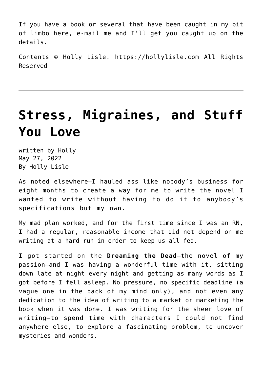If you have a book or several that have been caught in my bit of limbo here, e-mail me and I'll get you caught up on the details.

Contents © Holly Lisle. <https://hollylisle.com> All Rights Reserved

## **[Stress, Migraines, and Stuff](https://hollylisle.com/stress-migraines-and-stuff-you-love/) [You Love](https://hollylisle.com/stress-migraines-and-stuff-you-love/)**

written by Holly May 27, 2022 [By Holly Lisle](https://hollylisle.com)

As noted elsewhere—I hauled ass like nobody's business for eight months to create a way for me to write the novel I wanted to write without having to do it to anybody's specifications but my own.

My mad plan worked, and for the first time since I was an RN, I had a regular, reasonable income that did not depend on me writing at a hard run in order to keep us all fed.

I got started on the **Dreaming the Dead**—the novel of my passion—and I was having a wonderful time with it, sitting down late at night every night and getting as many words as I got before I fell asleep. No pressure, no specific deadline (a vague one in the back of my mind only), and not even any dedication to the idea of writing to a market or marketing the book when it was done. I was writing for the sheer love of writing—to spend time with characters I could not find anywhere else, to explore a fascinating problem, to uncover mysteries and wonders.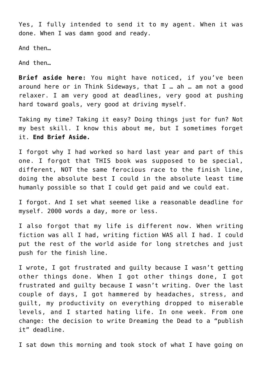Yes, I fully intended to send it to my agent. When it was done. When I was damn good and ready.

And then…

And then…

**Brief aside here:** You might have noticed, if you've been around here or in Think Sideways, that I … ah … am not a good relaxer. I am very good at deadlines, very good at pushing hard toward goals, very good at driving myself.

Taking my time? Taking it easy? Doing things just for fun? Not my best skill. I know this about me, but I sometimes forget it. **End Brief Aside.**

I forgot why I had worked so hard last year and part of this one. I forgot that THIS book was supposed to be special, different, NOT the same ferocious race to the finish line, doing the absolute best I could in the absolute least time humanly possible so that I could get paid and we could eat.

I forgot. And I set what seemed like a reasonable deadline for myself. 2000 words a day, more or less.

I also forgot that my life is different now. When writing fiction was all I had, writing fiction WAS all I had. I could put the rest of the world aside for long stretches and just push for the finish line.

I wrote, I got frustrated and guilty because I wasn't getting other things done. When I got other things done, I got frustrated and guilty because I wasn't writing. Over the last couple of days, I got hammered by headaches, stress, and guilt, my productivity on everything dropped to miserable levels, and I started hating life. In one week. From one change: the decision to write Dreaming the Dead to a "publish it" deadline.

I sat down this morning and took stock of what I have going on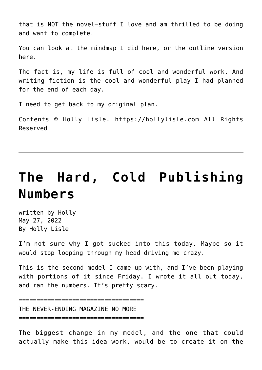that is NOT the novel—stuff I love and am thrilled to be doing and want to complete.

You can look at [the mindmap I did here](https://hollylisle.com/writingdiary-pages/Non-Novel_Projects-mm.html), or [the outline version](https://hollylisle.com/writingdiary-pages/Non-Novel_Projects.html) [here](https://hollylisle.com/writingdiary-pages/Non-Novel_Projects.html).

The fact is, my life is full of cool and wonderful work. And writing fiction is the cool and wonderful play I had planned for the end of each day.

I need to get back to my original plan.

Contents © Holly Lisle. <https://hollylisle.com> All Rights Reserved

# **[The Hard, Cold Publishing](https://hollylisle.com/the-hard-cold-publishing-numbers/) [Numbers](https://hollylisle.com/the-hard-cold-publishing-numbers/)**

written by Holly May 27, 2022 [By Holly Lisle](https://hollylisle.com)

I'm not sure why I got sucked into this today. Maybe so it would stop looping through my head driving me crazy.

This is the second model I came up with, and I've been playing with portions of it since Friday. I wrote it all out today, and ran the numbers. It's pretty scary.

=================================== THE NEVER-ENDING MAGAZINE NO MORE ===================================

The biggest change in my model, and the one that could actually make this idea work, would be to create it on the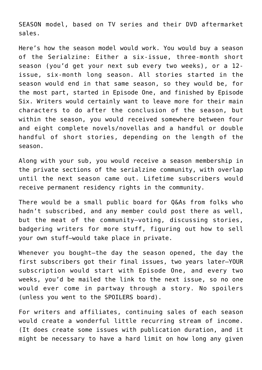SEASON model, based on TV series and their DVD aftermarket sales.

Here's how the season model would work. You would buy a season of the Serialzine: Either a six-issue, three-month short season (you'd get your next sub every two weeks), or a 12 issue, six-month long season. All stories started in the season would end in that same season, so they would be, for the most part, started in Episode One, and finished by Episode Six. Writers would certainly want to leave more for their main characters to do after the conclusion of the season, but within the season, you would received somewhere between four and eight complete novels/novellas and a handful or double handful of short stories, depending on the length of the season.

Along with your sub, you would receive a season membership in the private sections of the serialzine community, with overlap until the next season came out. Lifetime subscribers would receive permanent residency rights in the community.

There would be a small public board for Q&As from folks who hadn't subscribed, and any member could post there as well, but the meat of the community—voting, discussing stories, badgering writers for more stuff, figuring out how to sell your own stuff—would take place in private.

Whenever you bought—the day the season opened, the day the first subscribers got their final issues, two years later—YOUR subscription would start with Episode One, and every two weeks, you'd be mailed the link to the next issue, so no one would ever come in partway through a story. No spoilers (unless you went to the SPOILERS board).

For writers and affiliates, continuing sales of each season would create a wonderful little recurring stream of income. (It does create some issues with publication duration, and it might be necessary to have a hard limit on how long any given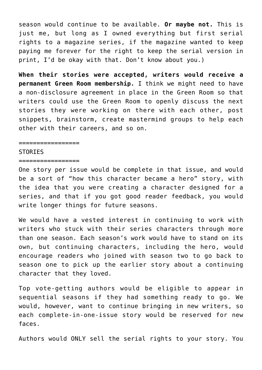season would continue to be available. **Or maybe not.** This is just me, but long as I owned everything but first serial rights to a magazine series, if the magazine wanted to keep paying me forever for the right to keep the serial version in print, I'd be okay with that. Don't know about you.)

**When their stories were accepted, writers would receive a permanent Green Room membership.** I think we might need to have a non-disclosure agreement in place in the Green Room so that writers could use the Green Room to openly discuss the next stories they were working on there with each other, post snippets, brainstorm, create mastermind groups to help each other with their careers, and so on.

#### ================

#### **STORTES**

#### =================

One story per issue would be complete in that issue, and would be a sort of "how this character became a hero" story, with the idea that you were creating a character designed for a series, and that if you got good reader feedback, you would write longer things for future seasons.

We would have a vested interest in continuing to work with writers who stuck with their series characters through more than one season. Each season's work would have to stand on its own, but continuing characters, including the hero, would encourage readers who joined with season two to go back to season one to pick up the earlier story about a continuing character that they loved.

Top vote-getting authors would be eligible to appear in sequential seasons if they had something ready to go. We would, however, want to continue bringing in new writers, so each complete-in-one-issue story would be reserved for new faces.

Authors would ONLY sell the serial rights to your story. You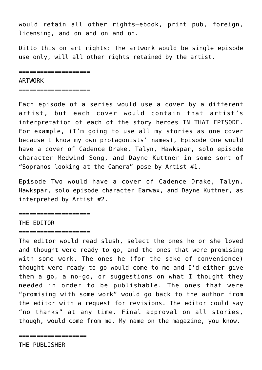would retain all other rights—ebook, print pub, foreign, licensing, and on and on and on.

Ditto this on art rights: The artwork would be single episode use only, will all other rights retained by the artist.

====================

#### ARTWORK

===================

Each episode of a series would use a cover by a different artist, but each cover would contain that artist's interpretation of each of the story heroes IN THAT EPISODE. For example, (I'm going to use all my stories as one cover because I know my own protagonists' names), Episode One would have a cover of Cadence Drake, Talyn, Hawkspar, solo episode character Medwind Song, and Dayne Kuttner in some sort of "Sopranos looking at the Camera" pose by Artist #1.

Episode Two would have a cover of Cadence Drake, Talyn, Hawkspar, solo episode character Earwax, and Dayne Kuttner, as interpreted by Artist #2.

===================

### THE EDITOR

#### ====================

The editor would read slush, select the ones he or she loved and thought were ready to go, and the ones that were promising with some work. The ones he (for the sake of convenience) thought were ready to go would come to me and I'd either give them a go, a no-go, or suggestions on what I thought they needed in order to be publishable. The ones that were "promising with some work" would go back to the author from the editor with a request for revisions. The editor could say "no thanks" at any time. Final approval on all stories, though, would come from me. My name on the magazine, you know.

=================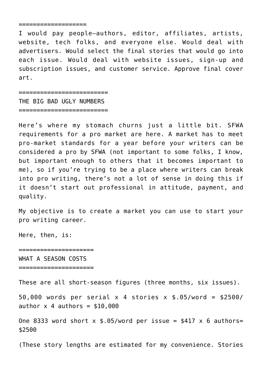I would pay people—authors, editor, affiliates, artists, website, tech folks, and everyone else. Would deal with advertisers. Would select the final stories that would go into each issue. Would deal with website issues, sign-up and subscription issues, and customer service. Approve final cover art.

========================= THE BIG BAD UGLY NUMBERS =========================

Here's where my stomach churns just a little bit. [SFWA](http://www.sfwa.org/org/qualify.htm#Q7) [requirements for a pro market are here.](http://www.sfwa.org/org/qualify.htm#Q7) A market has to meet pro-market standards for a year before your writers can be considered a pro by SFWA (not important to some folks, I know, but important enough to others that it becomes important to me), so if you're trying to be a place where writers can break into pro writing, there's not a lot of sense in doing this if it doesn't start out professional in attitude, payment, and quality.

My objective is to create a market you can use to start your pro writing career.

Here, then, is:

===================== WHAT A SEASON COSTS

====================

These are all short-season figures (three months, six issues).

50,000 words per serial x 4 stories x \$.05/word = \$2500/ author  $x$  4 authors =  $$10,000$ 

One 8333 word short  $x$  \$.05/word per issue = \$417  $x$  6 authors= \$2500

(These story lengths are estimated for my convenience. Stories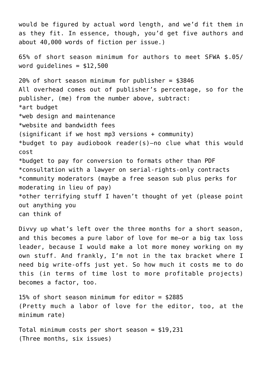would be figured by actual word length, and we'd fit them in as they fit. In essence, though, you'd get five authors and about 40,000 words of fiction per issue.) 65% of short season minimum for authors to meet SFWA \$.05/ word quidelines  $= $12,500$  $20\%$  of short season minimum for publisher = \$3846 All overhead comes out of publisher's percentage, so for the publisher, (me) from the number above, subtract: \*art budget \*web design and maintenance \*website and bandwidth fees (significant if we host mp3 versions + community) \*budget to pay audiobook reader(s)–no clue what this would cost \*budget to pay for conversion to formats other than PDF \*consultation with a lawyer on serial-rights-only contracts \*community moderators (maybe a free season sub plus perks for moderating in lieu of pay) \*other terrifying stuff I haven't thought of yet (please point out anything you can think of

Divvy up what's left over the three months for a short season, and this becomes a pure labor of love for me—or a big tax loss leader, because I would make a lot more money working on my own stuff. And frankly, I'm not in the tax bracket where I need big write-offs just yet. So how much it costs me to do this (in terms of time lost to more profitable projects) becomes a factor, too.

15% of short season minimum for editor = \$2885 (Pretty much a labor of love for the editor, too, at the minimum rate)

Total minimum costs per short season =  $$19,231$ (Three months, six issues)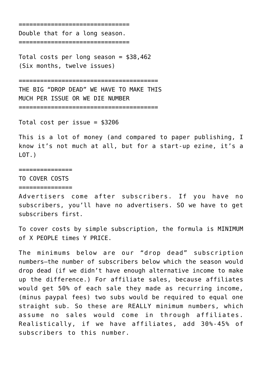======================

Double that for a long season.

===============================

Total costs per long season = \$38,462 (Six months, twelve issues)

=======================================

THE BIG "DROP DEAD" WE HAVE TO MAKE THIS MUCH PER ISSUE OR WE DIE NUMBER

=======================================

Total cost per issue = \$3206

This is a lot of money (and compared to paper publishing, I know it's not much at all, but for a start-up ezine, it's a  $LOT.$ )

===============

TO COVER COSTS ===============

Advertisers come after subscribers. If you have no subscribers, you'll have no advertisers. SO we have to get subscribers first.

To cover costs by simple subscription, the formula is MINIMUM of X PEOPLE times Y PRICE.

The minimums below are our "drop dead" subscription numbers—the number of subscribers below which the season would drop dead (if we didn't have enough alternative income to make up the difference.) For affiliate sales, because affiliates would get 50% of each sale they made as recurring income, (minus paypal fees) two subs would be required to equal one straight sub. So these are REALLY minimum numbers, which assume no sales would come in through affiliates. Realistically, if we have affiliates, add 30%-45% of subscribers to this number.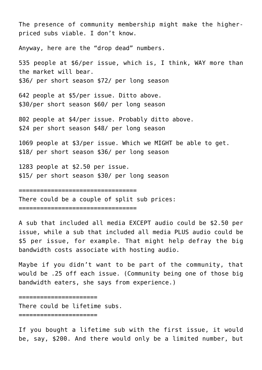The presence of community membership might make the higherpriced subs viable. I don't know.

Anyway, here are the "drop dead" numbers.

535 people at \$6/per issue, which is, I think, WAY more than the market will bear. \$36/ per short season \$72/ per long season

642 people at \$5/per issue. Ditto above. \$30/per short season \$60/ per long season

802 people at \$4/per issue. Probably ditto above. \$24 per short season \$48/ per long season

1069 people at \$3/per issue. Which we MIGHT be able to get. \$18/ per short season \$36/ per long season

1283 people at \$2.50 per issue. \$15/ per short season \$30/ per long season

=================================

There could be a couple of split sub prices:

=================================

A sub that included all media EXCEPT audio could be \$2.50 per issue, while a sub that included all media PLUS audio could be \$5 per issue, for example. That might help defray the big bandwidth costs associate with hosting audio.

Maybe if you didn't want to be part of the community, that would be .25 off each issue. (Community being one of those big bandwidth eaters, she says from experience.)

======================

There could be lifetime subs.

======================

If you bought a lifetime sub with the first issue, it would be, say, \$200. And there would only be a limited number, but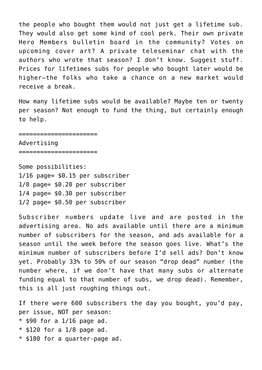the people who bought them would not just get a lifetime sub. They would also get some kind of cool perk. Their own private Hero Members bulletin board in the community? Votes on upcoming cover art? A private teleseminar chat with the authors who wrote that season? I don't know. Suggest stuff. Prices for lifetimes subs for people who bought later would be higher—the folks who take a chance on a new market would receive a break.

How many lifetime subs would be available? Maybe ten or twenty per season? Not enough to fund the thing, but certainly enough to help.

#### ======================

Advertising

======================

Some possibilities: 1/16 page= \$0.15 per subscriber 1/8 page= \$0.20 per subscriber 1/4 page= \$0.30 per subscriber 1/2 page= \$0.50 per subscriber

Subscriber numbers update live and are posted in the advertising area. No ads available until there are a minimum number of subscribers for the season, and ads available for a season until the week before the season goes live. What's the minimum number of subscribers before I'd sell ads? Don't know yet. Probably 33% to 50% of our season "drop dead" number (the number where, if we don't have that many subs or alternate funding equal to that number of subs, we drop dead). Remember, this is all just roughing things out.

If there were 600 subscribers the day you bought, you'd pay, per issue, NOT per season:  $*$  \$90 for a 1/16 page ad.  $*$  \$120 for a 1/8 page ad. \* \$180 for a quarter-page ad.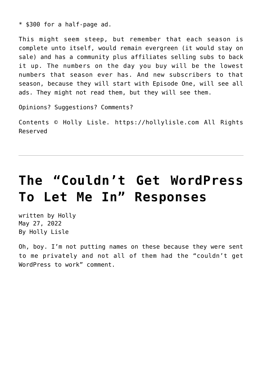\* \$300 for a half-page ad.

This might seem steep, but remember that each season is complete unto itself, would remain evergreen (it would stay on sale) and has a community plus affiliates selling subs to back it up. The numbers on the day you buy will be the lowest numbers that season ever has. And new subscribers to that season, because they will start with Episode One, will see all ads. They might not read them, but they will see them.

Opinions? Suggestions? Comments?

Contents © Holly Lisle. <https://hollylisle.com> All Rights Reserved

# **[The "Couldn't Get WordPress](https://hollylisle.com/the-couldnt-get-wordpress-to-let-me-in-responses/) [To Let Me In" Responses](https://hollylisle.com/the-couldnt-get-wordpress-to-let-me-in-responses/)**

written by Holly May 27, 2022 [By Holly Lisle](https://hollylisle.com)

Oh, boy. I'm not putting names on these because they were sent to me privately and not all of them had the "couldn't get WordPress to work" comment.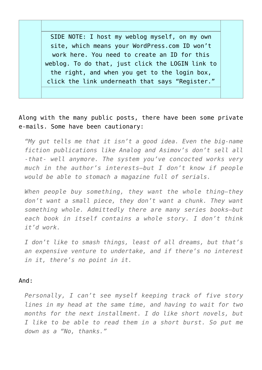SIDE NOTE: I host my weblog myself, on my own site, which means your WordPress.com ID won't work here. You need to create an ID for this weblog. To do that, just click the LOGIN link to the right, and when you get to the login box, click the link underneath that says ["Register](https://hollylisle.com/writingdiary2/wp-login.php?action=register)."

### Along with the many public posts, there have been some private e-mails. Some have been cautionary:

*"My gut tells me that it isn't a good idea. Even the big-name fiction publications like Analog and Asimov's don't sell all -that- well anymore. The system you've concocted works very much in the author's interests–but I don't know if people would be able to stomach a magazine full of serials.*

*When people buy something, they want the whole thing–they don't want a small piece, they don't want a chunk. They want something whole. Admittedly there are many series books–but each book in itself contains a whole story. I don't think it'd work.*

*I don't like to smash things, least of all dreams, but that's an expensive venture to undertake, and if there's no interest in it, there's no point in it.*

### And:

*Personally, I can't see myself keeping track of five story lines in my head at the same time, and having to wait for two months for the next installment. I do like short novels, but I like to be able to read them in a short burst. So put me down as a "No, thanks."*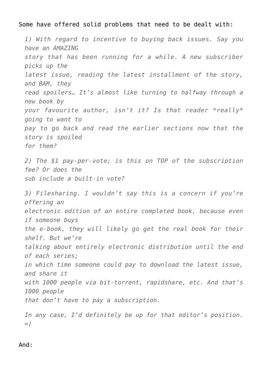Some have offered solid problems that need to be dealt with:

*1) With regard to incentive to buying back issues. Say you have an AMAZING story that has been running for a while. A new subscriber picks up the latest issue, reading the latest installment of the story, and BAM, they read spoilers… It's almost like turning to halfway through a new book by your favourite author, isn't it? Is that reader \*really\* going to want to pay to go back and read the earlier sections now that the story is spoiled for them? 2) The \$1 pay-per-vote; is this on TOP of the subscription fee? Or does the sub include a built-in vote? 3) Filesharing. I wouldn't say this is a concern if you're offering an electronic edition of an entire completed book, because even if someone buys the e-book, they will likely go get the real book for their shelf. But we're talking about entirely electronic distribution until the end of each series; in which time someone could pay to download the latest issue, and share it with 1000 people via bit-torrent, rapidshare, etc. And that's 1000 people that don't have to pay a subscription. In any case, I'd definitely be up for that editor's position.*

*=)*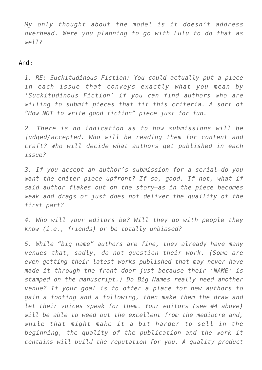*My only thought about the model is it doesn't address overhead. Were you planning to go with Lulu to do that as well?*

### And:

*1. RE: Suckitudinous Fiction: You could actually put a piece in each issue that conveys exactly what you mean by 'Suckitudinous Fiction' if you can find authors who are willing to submit pieces that fit this criteria. A sort of "How NOT to write good fiction" piece just for fun.*

*2. There is no indication as to how submissions will be judged/accepted. Who will be reading them for content and craft? Who will decide what authors get published in each issue?*

*3. If you accept an author's submission for a serial–do you want the eniter piece upfront? If so, good. If not, what if said author flakes out on the story–as in the piece becomes weak and drags or just does not deliver the quaility of the first part?*

*4. Who will your editors be? Will they go with people they know (i.e., friends) or be totally unbiased?*

*5. While "big name" authors are fine, they already have many venues that, sadly, do not question their work. (Some are even getting their latest works published that may never have made it through the front door just because their \*NAME\* is stamped on the manuscript.) Do Big Names really need another venue? If your goal is to offer a place for new authors to gain a footing and a following, then make them the draw and let their voices speak for them. Your editors (see #4 above) will be able to weed out the excellent from the mediocre and, while that might make it a bit harder to sell in the beginning, the quality of the publication and the work it contains will build the reputation for you. A quality product*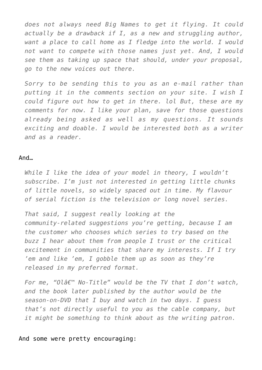*does not always need Big Names to get it flying. It could actually be a drawback if I, as a new and struggling author, want a place to call home as I fledge into the world. I would not want to compete with those names just yet. And, I would see them as taking up space that should, under your proposal, go to the new voices out there.*

*Sorry to be sending this to you as an e-mail rather than putting it in the comments section on your site. I wish I could figure out how to get in there. lol But, these are my comments for now. I like your plan, save for those questions already being asked as well as my questions. It sounds exciting and doable. I would be interested both as a writer and as a reader.*

#### And…

*While I like the idea of your model in theory, I wouldn't subscribe. I'm just not interested in getting little chunks of little novels, so widely spaced out in time. My flavour of serial fiction is the television or long novel series.*

*That said, I suggest really looking at the community-related suggestions you're getting, because I am the customer who chooses which series to try based on the buzz I hear about them from people I trust or the critical excitement in communities that share my interests. If I try 'em and like 'em, I gobble them up as soon as they're released in my preferred format.*

*For me, "Ol' No-Title" would be the TV that I don't watch, and the book later published by the author would be the season-on-DVD that I buy and watch in two days. I guess that's not directly useful to you as the cable company, but it might be something to think about as the writing patron.*

And some were pretty encouraging: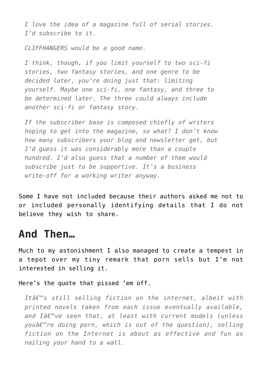*I love the idea of a magazine full of serial stories. I'd subscribe to it.*

*CLIFFHANGERS would be a good name.*

*I think, though, if you limit yourself to two sci-fi stories, two fantasy stories, and one genre to be decided later, you're doing just that: limiting yourself. Maybe one sci-fi, one fantasy, and three to be determined later. The three could always include another sci-fi or fantasy story.*

*If the subscriber base is composed chiefly of writers hoping to get into the magazine, so what? I don't know how many subscribers your blog and newsletter get, but I'd guess it was considerably more than a couple hundred. I'd also guess that a number of them would subscribe just to be supportive. It's a business write-off for a working writer anyway.*

Some I have not included because their authors asked me not to or included personally identifying details that I do not believe they wish to share.

### **And Then…**

Much to my astonishment I also managed to create a tempest in a tepot over my tiny remark that porn sells but I'm not interested in selling it.

Here's the quote that pissed 'em off.

*It's still selling fiction on the internet, albeit with printed novels taken from each issue eventually available,* and Iâ€<sup>™</sup>ve seen that, at least with current models (unless *youâ€*<sup>™</sup>re doing porn, which is out of the question), selling *fiction on the Internet is about as effective and fun as nailing your hand to a wall.*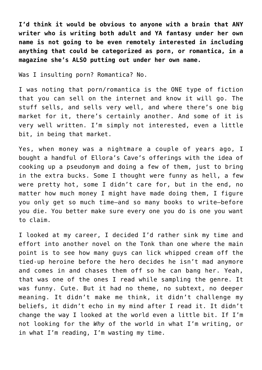**I'd think it would be obvious to anyone with a brain that ANY writer who is writing both adult and YA fantasy under her own name is not going to be even remotely interested in including anything that could be categorized as porn, or romantica, in a magazine she's ALSO putting out under her own name.**

Was I insulting porn? Romantica? No.

I was noting that porn/romantica is the ONE type of fiction that you can sell on the internet and know it will go. The stuff sells, and sells very well, and where there's one big market for it, there's certainly another. And some of it is very well written. I'm simply not interested, even a little bit, in being that market.

Yes, when money was a nightmare a couple of years ago, I bought a handful of Ellora's Cave's offerings with the idea of cooking up a pseudonym and doing a few of them, just to bring in the extra bucks. Some I thought were funny as hell, a few were pretty hot, some I didn't care for, but in the end, no matter how much money I might have made doing them, I figure you only get so much time—and so many books to write—before you die. You better make sure every one you do is one you want to claim.

I looked at my career, I decided I'd rather sink my time and effort into another novel on the Tonk than one where the main point is to see how many guys can lick whipped cream off the tied-up heroine before the hero decides he isn't mad anymore and comes in and chases them off so he can bang her. Yeah, that was one of the ones I read while sampling the genre. It was funny. Cute. But it had no theme, no subtext, no deeper meaning. It didn't make me think, it didn't challenge my beliefs, it didn't echo in my mind after I read it. It didn't change the way I looked at the world even a little bit. If I'm not looking for the *Why* of the world in what I'm writing, or in what I'm reading, I'm wasting my time.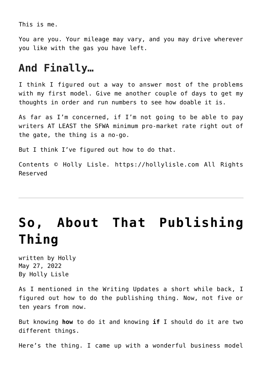This is me.

You are you. Your mileage may vary, and you may drive wherever you like with the gas you have left.

### **And Finally…**

I think I figured out a way to answer most of the problems with my first model. Give me another couple of days to get my thoughts in order and run numbers to see how doable it is.

As far as I'm concerned, if I'm not going to be able to [pay](http://www.sfwa.org/org/qualify.htm#Q7) [writers AT LEAST the SFWA minimum pro-market rate right out of](http://www.sfwa.org/org/qualify.htm#Q7) [the gate,](http://www.sfwa.org/org/qualify.htm#Q7) the thing is a no-go.

But I think I've figured out how to do that.

Contents © Holly Lisle. <https://hollylisle.com> All Rights Reserved

## **[So, About That Publishing](https://hollylisle.com/so-about-that-publishing-thing/) [Thing](https://hollylisle.com/so-about-that-publishing-thing/)**

written by Holly May 27, 2022 [By Holly Lisle](https://hollylisle.com)

As I mentioned in the [Writing Updates](https://hollylisle.com/newsletter.html) a short while back, I figured out how to do the publishing thing. Now, not five or ten years from now.

But knowing **how** to do it and knowing **if** I should do it are two different things.

Here's the thing. I came up with a wonderful business model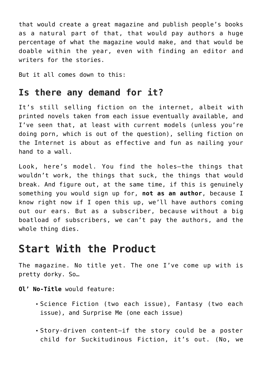that would create a great magazine and publish people's books as a natural part of that, that would pay authors a huge percentage of what the magazine would make, and that would be doable within the year, even with finding an editor and writers for the stories.

But it all comes down to this:

### **Is there any demand for it?**

It's still selling fiction on the internet, albeit with printed novels taken from each issue eventually available, and I've seen that, at least with current models (unless you're doing porn, which is out of the question), selling fiction on the Internet is about as effective and fun as nailing your hand to a wall.

Look, here's model. You find the holes—the things that wouldn't work, the things that suck, the things that would break. And figure out, at the same time, if this is genuinely something you would sign up for, **not as an author**, because I know right now if I open this up, we'll have authors coming out our ears. But as a subscriber, because without a big boatload of subscribers, we can't pay the authors, and the whole thing dies.

### **Start With the Product**

The magazine. No title yet. The one I've come up with is pretty dorky. So…

### **Ol' No-Title** would feature:

- Science Fiction (two each issue), Fantasy (two each issue), and Surprise Me (one each issue)
- Story-driven content—if the story could be a poster child for [Suckitudinous Fiction,](https://hollylisle.com/fm/Workshops/suckitudinous.html) it's out. (No, we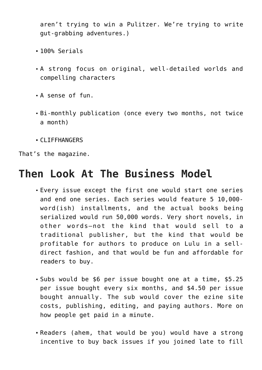aren't trying to win a Pulitzer. We're trying to write gut-grabbing adventures.)

- 100% Serials
- A strong focus on original, well-detailed worlds and compelling characters
- A sense of fun.
- Bi-monthly publication (once every two months, not twice a month)
- CLIFFHANGERS

That's the magazine.

### **Then Look At The Business Model**

- Every issue except the first one would start one series and end one series. Each series would feature 5 10,000 word(ish) installments, and the actual books being serialized would run 50,000 words. Very short novels, in other words—not the kind that would sell to a traditional publisher, but the kind that would be profitable for authors to produce on Lulu in a selldirect fashion, and that would be fun and affordable for readers to buy.
- Subs would be \$6 per issue bought one at a time, \$5.25 per issue bought every six months, and \$4.50 per issue bought annually. The sub would cover the ezine site costs, publishing, editing, and paying authors. More on how people get paid in a minute.
- Readers (ahem, that would be you) would have a strong incentive to buy back issues if you joined late to fill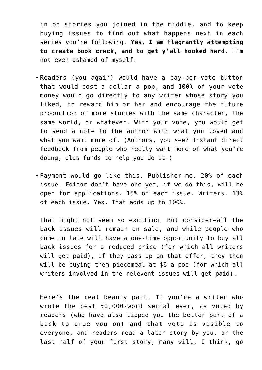in on stories you joined in the middle, and to keep buying issues to find out what happens next in each series you're following. **Yes, I am flagrantly attempting to create book crack, and to get y'all hooked hard.** I'm not even ashamed of myself.

- Readers (you again) would have a pay-per-vote button that would cost a dollar a pop, and 100% of your vote money would go directly to any writer whose story you liked, to reward him or her and encourage the future production of more stories with the same character, the same world, or whatever. With your vote, you would get to send a note to the author with what you loved and what you want more of. (Authors, you see? Instant direct feedback from people who really want more of what you're doing, plus funds to help you do it.)
- Payment would go like this. Publisher—me. 20% of each issue. Editor—don't have one yet, if we do this, will be open for applications. 15% of each issue. Writers. 13% of each issue. Yes. That adds up to 100%.

That might not seem so exciting. But consider—all the back issues will remain on sale, and while people who come in late will have a one-time opportunity to buy all back issues for a reduced price (for which all writers will get paid), if they pass up on that offer, they then will be buying them piecemeal at \$6 a pop (for which all writers involved in the relevent issues will get paid).

Here's the real beauty part. If you're a writer who wrote the best 50,000-word serial ever, as voted by readers (who have also tipped you the better part of a buck to urge you on) and that vote is visible to everyone, and readers read a later story by you, or the last half of your first story, many will, I think, go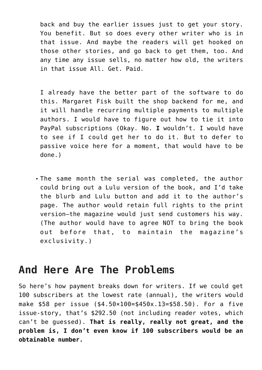back and buy the earlier issues just to get your story. You benefit. But so does every other writer who is in that issue. And maybe the readers will get hooked on those other stories, and go back to get them, too. And any time any issue sells, no matter how old, the writers in that issue All. Get. Paid.

I already have the better part of the software to do this. Margaret Fisk built the shop backend for me, and it will handle recurring multiple payments to multiple authors. I would have to figure out how to tie it into PayPal subscriptions (Okay. No. **I** wouldn't. I would have to see if I could get her to do it. But to defer to passive voice here for a moment, that would have to be done.)

The same month the serial was completed, the author could bring out a Lulu version of the book, and I'd take the blurb and Lulu button and add it to the author's page. The author would retain full rights to the print version—the magazine would just send customers his way. (The author would have to agree NOT to bring the book out before that, to maintain the magazine's exclusivity.)

### **And Here Are The Problems**

So here's how payment breaks down for writers. If we could get 100 subscribers at the lowest rate (annual), the writers would make \$58 per issue (\$4.50×100=\$450x.13=\$58.50). For a five issue-story, that's \$292.50 (not including reader votes, which can't be guessed). **That is really, really not great, and the problem is, I don't even know if 100 subscribers would be an obtainable number.**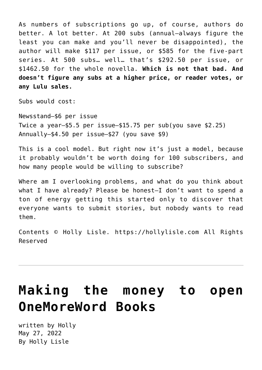As numbers of subscriptions go up, of course, authors do better. A lot better. At 200 subs (annual—always figure the least you can make and you'll never be disappointed), the author will make \$117 per issue, or \$585 for the five-part series. At 500 subs… well… that's \$292.50 per issue, or \$1462.50 for the whole novella. **Which is not that bad. And doesn't figure any subs at a higher price, or reader votes, or any Lulu sales.**

Subs would cost:

Newsstand—\$6 per issue Twice a year—\$5.5 per issue—\$15.75 per sub(you save \$2.25) Annually—\$4.50 per issue—\$27 (you save \$9)

This is a cool model. But right now it's just a model, because it probably wouldn't be worth doing for 100 subscribers, and how many people would be willing to subscribe?

Where am I overlooking problems, and what do you think about what I have already? Please be honest—I don't want to spend a ton of energy getting this started only to discover that everyone wants to submit stories, but nobody wants to read them.

Contents © Holly Lisle. <https://hollylisle.com> All Rights Reserved

## **[Making the money to open](https://hollylisle.com/making-the-money-to-open-onemoreword-books/) [OneMoreWord Books](https://hollylisle.com/making-the-money-to-open-onemoreword-books/)**

written by Holly May 27, 2022 [By Holly Lisle](https://hollylisle.com)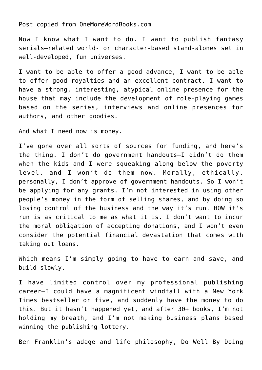[Post copied from OneMoreWordBooks.com](http://onemorewordbooks.com/forum/index.php?topic=19.msg183#msg183)

Now I know what I want to do. I want to publish fantasy serials—related world- or character-based stand-alones set in well-developed, fun universes.

I want to be able to offer a good advance, I want to be able to offer good royalties and an excellent contract. I want to have a strong, interesting, atypical online presence for the house that may include the development of role-playing games based on the series, interviews and online presences for authors, and other goodies.

And what I need now is money.

I've gone over all sorts of sources for funding, and here's the thing. I don't do government handouts—I didn't do them when the kids and I were squeaking along below the poverty level, and I won't do them now. Morally, ethically, personally, I don't approve of government handouts. So I won't be applying for any grants. I'm not interested in using other people's money in the form of selling shares, and by doing so losing control of the business and the way it's run. HOW it's run is as critical to me as what it is. I don't want to incur the moral obligation of accepting donations, and I won't even consider the potential financial devastation that comes with taking out loans.

Which means I'm simply going to have to earn and save, and build slowly.

I have limited control over my professional publishing career—I could have a magnificent windfall with a New York Times bestseller or five, and suddenly have the money to do this. But it hasn't happened yet, and after 30+ books, I'm not holding my breath, and I'm not making business plans based winning the publishing lottery.

Ben Franklin's adage and life philosophy, [Do Well By Doing](http://www.evancarmichael.com/Famous-Entrepreneurs/624/Lesson-5-Do-Well-by-Doing-Good.html)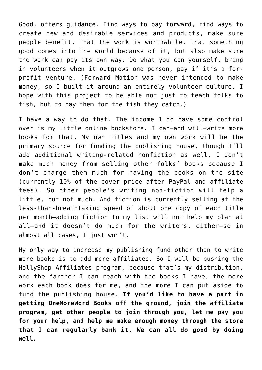[Good,](http://www.evancarmichael.com/Famous-Entrepreneurs/624/Lesson-5-Do-Well-by-Doing-Good.html) offers guidance. Find ways to pay forward, find ways to create new and desirable services and products, make sure people benefit, that the work is worthwhile, that something good comes into the world because of it, but also make sure the work can pay its own way. Do what you can yourself, bring in volunteers when it outgrows one person, pay if it's a forprofit venture. (Forward Motion was never intended to make money, so I built it around an entirely volunteer culture. I hope with this project to be able not just to teach folks to fish, but to pay them for the fish they catch.)

I have a way to do that. The income I do have some control over is my little online bookstore. I can—and will—write more books for that. My own titles and my own work will be the primary source for funding the publishing house, though I'll add additional writing-related nonfiction as well. I don't make much money from selling other folks' books because I don't charge them much for having the books on the site (currently 10% of the cover price after PayPal and affiliate fees). So other people's writing non-fiction will help a little, but not much. And fiction is currently selling at the less-than-breathtaking speed of about one copy of each title per month—adding fiction to my list will not help my plan at all—and it doesn't do much for the writers, either—so in almost all cases, I just won't.

My only way to increase my publishing fund other than to write more books is to add more affiliates. So I will be pushing the [HollyShop Affiliates program](http://shop.hollylisle.com/jamaffiliates/index.php?req=desc&pid=1), because that's my distribution, and the farther I can reach with the books I have, the more work each book does for me, and the more I can put aside to fund the publishing house. **If you'd like to have a part in getting OneMoreWord Books off the ground, [join the affiliate](http://shop.hollylisle.com/jamaffiliates/index.php?req=desc&pid=1) [program, get other people to join through you, let me pay you](http://shop.hollylisle.com/jamaffiliates/index.php?req=desc&pid=1) [for your help, and help me make enough money through the store](http://shop.hollylisle.com/jamaffiliates/index.php?req=desc&pid=1) [that I can regularly bank it.](http://shop.hollylisle.com/jamaffiliates/index.php?req=desc&pid=1) We can all do good by doing well.**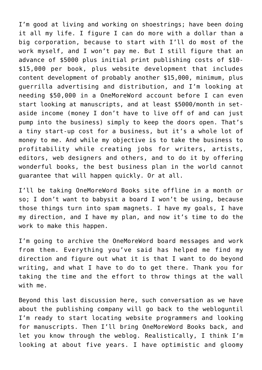I'm good at living and working on shoestrings; have been doing it all my life. I figure I can do more with a dollar than a big corporation, because to start with I'll do most of the work myself, and I won't pay me. But I still figure that an advance of \$5000 plus initial print publishing costs of \$10- \$15,000 per book, plus website development that includes content development of probably another \$15,000, minimum, plus guerrilla advertising and distribution, and I'm looking at needing \$50,000 in a OneMoreWord account before I can even start looking at manuscripts, and at least \$5000/month in setaside income (money I don't have to live off of and can just pump into the business) simply to keep the doors open. That's a tiny start-up cost for a business, but it's a whole lot of money to me. And while my objective is to take the business to profitability while creating jobs for writers, artists, editors, web designers and others, and to do it by offering wonderful books, the best business plan in the world cannot guarantee that will happen quickly. Or at all.

I'll be taking [OneMoreWord Books site](http://onemorewordbooks.com) offline in a month or so; I don't want to babysit a board I won't be using, because those things turn into spam magnets. I have my goals, I have my direction, and I have my plan, and now it's time to do the work to make this happen.

I'm going to archive the OneMoreWord board messages and work from them. Everything you've said has helped me find my direction and figure out what it is that I want to do beyond writing, and what I have to do to get there. Thank you for taking the time and the effort to throw things at the wall with me.

Beyond this last discussion here, such conversation as we have about the publishing company will go back to [the weblog](https://hollylisle.com/writingdiary2/)until I'm ready to start locating website programmers and looking for manuscripts. Then I'll bring OneMoreWord Books back, and let you know through the weblog. Realistically, I think I'm looking at about five years. I have optimistic and gloomy